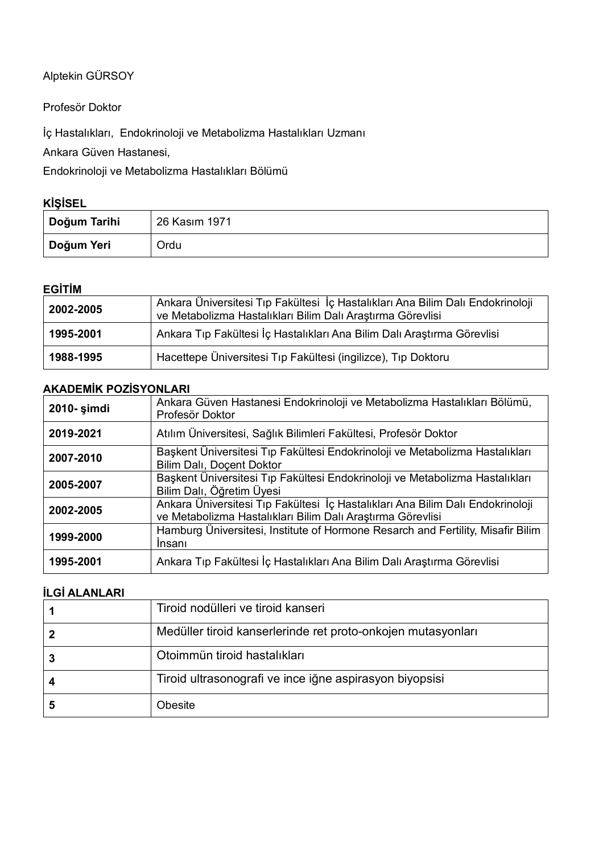Alptekin GÜRSOY

Profesör Doktor

İç Hastalıkları, Endokrinoloji ve Metabolizma Hastalıkları Uzmanı

Ankara Güven Hastanesi,

Endokrinoloji ve Metabolizma Hastalıkları Bölümü

## **KİŞİSEL**

| Doğum Tarihi | 26 Kasım 1971 |
|--------------|---------------|
| Doğum Yeri   | Ordu          |

## **EGİTİM**

| 2002-2005 | Ankara Üniversitesi Tıp Fakültesi İç Hastalıkları Ana Bilim Dalı Endokrinoloji<br>ve Metabolizma Hastalıkları Bilim Dalı Araştırma Görevlisi |  |
|-----------|----------------------------------------------------------------------------------------------------------------------------------------------|--|
| 1995-2001 | Ankara Tıp Fakültesi İç Hastalıkları Ana Bilim Dalı Araştırma Görevlisi                                                                      |  |
| 1988-1995 | Hacettepe Üniversitesi Tıp Fakültesi (ingilizce), Tıp Doktoru                                                                                |  |

## **AKADEMİK POZİSYONLARI**

| 2010- şimdi                                                                                                            | Ankara Güven Hastanesi Endokrinoloji ve Metabolizma Hastalıkları Bölümü,<br>Profesör Doktor                                                  |  |
|------------------------------------------------------------------------------------------------------------------------|----------------------------------------------------------------------------------------------------------------------------------------------|--|
| Atılım Üniversitesi, Sağlık Bilimleri Fakültesi, Profesör Doktor<br>2019-2021                                          |                                                                                                                                              |  |
| 2007-2010                                                                                                              | Başkent Üniversitesi Tıp Fakültesi Endokrinoloji ve Metabolizma Hastalıkları<br>Bilim Dalı, Doçent Doktor                                    |  |
| Başkent Üniversitesi Tıp Fakültesi Endokrinoloji ve Metabolizma Hastalıkları<br>2005-2007<br>Bilim Dalı, Öğretim Üyesi |                                                                                                                                              |  |
| 2002-2005                                                                                                              | Ankara Üniversitesi Tıp Fakültesi İç Hastalıkları Ana Bilim Dalı Endokrinoloji<br>ve Metabolizma Hastalıkları Bilim Dalı Araştırma Görevlisi |  |
| 1999-2000                                                                                                              | Hamburg Üniversitesi, Institute of Hormone Resarch and Fertility, Misafir Bilim<br><i>Insani</i>                                             |  |
| 1995-2001                                                                                                              | Ankara Tıp Fakültesi İç Hastalıkları Ana Bilim Dalı Araştırma Görevlisi                                                                      |  |

# **İLGİ ALANLARI**

| Tiroid nodülleri ve tiroid kanseri                           |  |
|--------------------------------------------------------------|--|
| Medüller tiroid kanserlerinde ret proto-onkojen mutasyonları |  |
| Otoimmün tiroid hastalıkları                                 |  |
| Tiroid ultrasonografi ve ince iğne aspirasyon biyopsisi      |  |
| Obesite                                                      |  |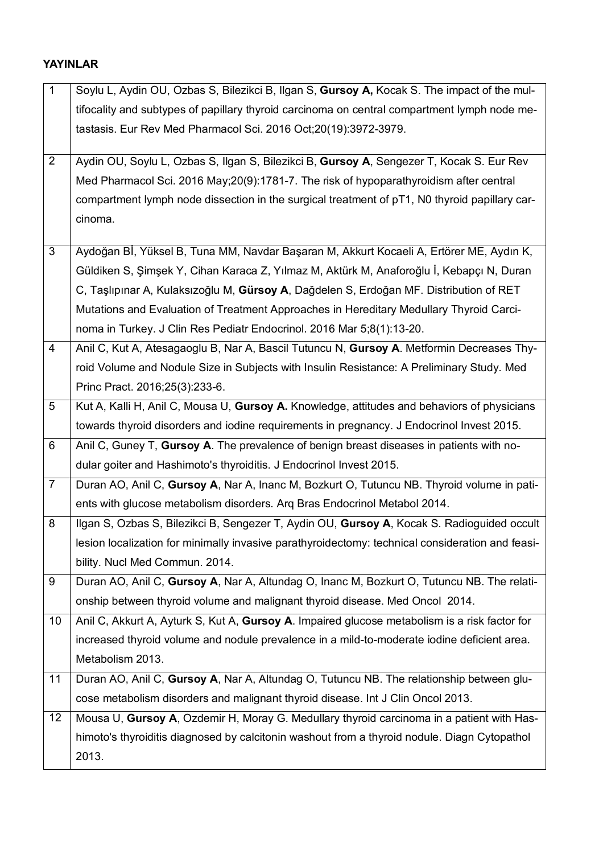# **YAYINLAR**

| $\mathbf{1}$   | Soylu L, Aydin OU, Ozbas S, Bilezikci B, Ilgan S, Gursoy A, Kocak S. The impact of the mul-      |  |
|----------------|--------------------------------------------------------------------------------------------------|--|
|                | tifocality and subtypes of papillary thyroid carcinoma on central compartment lymph node me-     |  |
|                | tastasis. Eur Rev Med Pharmacol Sci. 2016 Oct;20(19):3972-3979.                                  |  |
|                |                                                                                                  |  |
| $\overline{2}$ | Aydin OU, Soylu L, Ozbas S, Ilgan S, Bilezikci B, Gursoy A, Sengezer T, Kocak S. Eur Rev         |  |
|                | Med Pharmacol Sci. 2016 May; 20(9): 1781-7. The risk of hypoparathyroidism after central         |  |
|                | compartment lymph node dissection in the surgical treatment of pT1, N0 thyroid papillary car-    |  |
|                | cinoma.                                                                                          |  |
| 3              | Aydoğan Bİ, Yüksel B, Tuna MM, Navdar Başaran M, Akkurt Kocaeli A, Ertörer ME, Aydın K,          |  |
|                | Güldiken S, Şimşek Y, Cihan Karaca Z, Yılmaz M, Aktürk M, Anaforoğlu İ, Kebapçı N, Duran         |  |
|                | C, Taşlıpınar A, Kulaksızoğlu M, Gürsoy A, Dağdelen S, Erdoğan MF. Distribution of RET           |  |
|                | Mutations and Evaluation of Treatment Approaches in Hereditary Medullary Thyroid Carci-          |  |
|                | noma in Turkey. J Clin Res Pediatr Endocrinol. 2016 Mar 5;8(1):13-20.                            |  |
| 4              | Anil C, Kut A, Atesagaoglu B, Nar A, Bascil Tutuncu N, Gursoy A. Metformin Decreases Thy-        |  |
|                | roid Volume and Nodule Size in Subjects with Insulin Resistance: A Preliminary Study. Med        |  |
|                | Princ Pract. 2016;25(3):233-6.                                                                   |  |
| 5              | Kut A, Kalli H, Anil C, Mousa U, Gursoy A. Knowledge, attitudes and behaviors of physicians      |  |
|                | towards thyroid disorders and iodine requirements in pregnancy. J Endocrinol Invest 2015.        |  |
| 6              | Anil C, Guney T, Gursoy A. The prevalence of benign breast diseases in patients with no-         |  |
|                | dular goiter and Hashimoto's thyroiditis. J Endocrinol Invest 2015.                              |  |
| $\overline{7}$ | Duran AO, Anil C, Gursoy A, Nar A, Inanc M, Bozkurt O, Tutuncu NB. Thyroid volume in pati-       |  |
|                | ents with glucose metabolism disorders. Arq Bras Endocrinol Metabol 2014.                        |  |
| 8              | Ilgan S, Ozbas S, Bilezikci B, Sengezer T, Aydin OU, Gursoy A, Kocak S. Radioguided occult       |  |
|                | lesion localization for minimally invasive parathyroidectomy: technical consideration and feasi- |  |
|                | bility. Nucl Med Commun. 2014.                                                                   |  |
| 9              | Duran AO, Anil C, Gursoy A, Nar A, Altundag O, Inanc M, Bozkurt O, Tutuncu NB. The relati-       |  |
|                | onship between thyroid volume and malignant thyroid disease. Med Oncol 2014.                     |  |
| 10             | Anil C, Akkurt A, Ayturk S, Kut A, Gursoy A. Impaired glucose metabolism is a risk factor for    |  |
|                | increased thyroid volume and nodule prevalence in a mild-to-moderate iodine deficient area.      |  |
|                | Metabolism 2013.                                                                                 |  |
| 11             | Duran AO, Anil C, Gursoy A, Nar A, Altundag O, Tutuncu NB. The relationship between glu-         |  |
|                | cose metabolism disorders and malignant thyroid disease. Int J Clin Oncol 2013.                  |  |
| 12             | Mousa U, Gursoy A, Ozdemir H, Moray G. Medullary thyroid carcinoma in a patient with Has-        |  |
|                | himoto's thyroiditis diagnosed by calcitonin washout from a thyroid nodule. Diagn Cytopathol     |  |
|                | 2013.                                                                                            |  |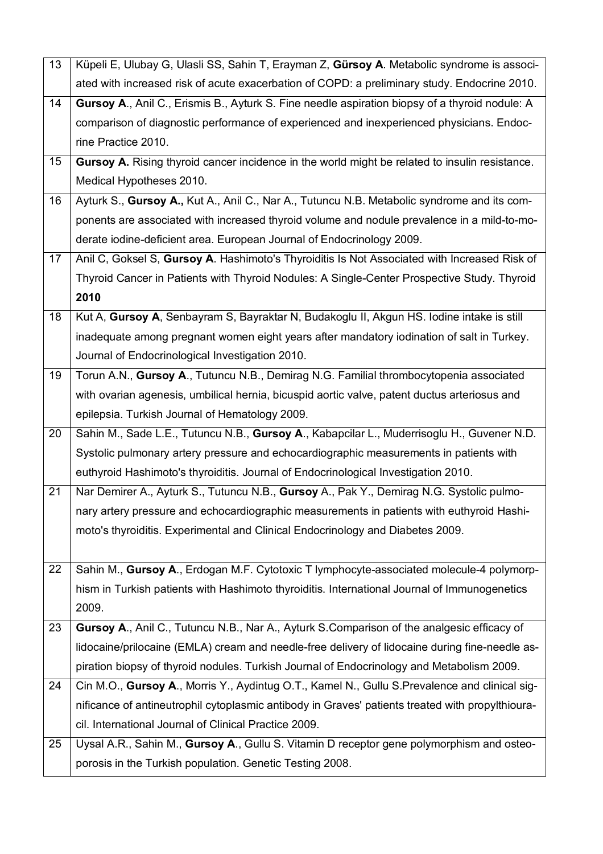| 13                                                                                        | Küpeli E, Ulubay G, Ulasli SS, Sahin T, Erayman Z, Gürsoy A. Metabolic syndrome is associ-       |  |
|-------------------------------------------------------------------------------------------|--------------------------------------------------------------------------------------------------|--|
|                                                                                           | ated with increased risk of acute exacerbation of COPD: a preliminary study. Endocrine 2010.     |  |
| 14                                                                                        | Gursoy A., Anil C., Erismis B., Ayturk S. Fine needle aspiration biopsy of a thyroid nodule: A   |  |
|                                                                                           | comparison of diagnostic performance of experienced and inexperienced physicians. Endoc-         |  |
|                                                                                           | rine Practice 2010.                                                                              |  |
| 15                                                                                        | Gursoy A. Rising thyroid cancer incidence in the world might be related to insulin resistance.   |  |
|                                                                                           | Medical Hypotheses 2010.                                                                         |  |
| 16                                                                                        | Ayturk S., Gursoy A., Kut A., Anil C., Nar A., Tutuncu N.B. Metabolic syndrome and its com-      |  |
|                                                                                           | ponents are associated with increased thyroid volume and nodule prevalence in a mild-to-mo-      |  |
|                                                                                           | derate iodine-deficient area. European Journal of Endocrinology 2009.                            |  |
| 17                                                                                        | Anil C, Goksel S, Gursoy A. Hashimoto's Thyroiditis Is Not Associated with Increased Risk of     |  |
|                                                                                           | Thyroid Cancer in Patients with Thyroid Nodules: A Single-Center Prospective Study. Thyroid      |  |
|                                                                                           | 2010                                                                                             |  |
| 18                                                                                        | Kut A, Gursoy A, Senbayram S, Bayraktar N, Budakoglu II, Akgun HS. Iodine intake is still        |  |
|                                                                                           | inadequate among pregnant women eight years after mandatory iodination of salt in Turkey.        |  |
|                                                                                           | Journal of Endocrinological Investigation 2010.                                                  |  |
| 19                                                                                        | Torun A.N., Gursoy A., Tutuncu N.B., Demirag N.G. Familial thrombocytopenia associated           |  |
|                                                                                           | with ovarian agenesis, umbilical hernia, bicuspid aortic valve, patent ductus arteriosus and     |  |
|                                                                                           | epilepsia. Turkish Journal of Hematology 2009.                                                   |  |
| 20                                                                                        | Sahin M., Sade L.E., Tutuncu N.B., Gursoy A., Kabapcilar L., Muderrisoglu H., Guvener N.D.       |  |
|                                                                                           | Systolic pulmonary artery pressure and echocardiographic measurements in patients with           |  |
|                                                                                           | euthyroid Hashimoto's thyroiditis. Journal of Endocrinological Investigation 2010.               |  |
| 21                                                                                        | Nar Demirer A., Ayturk S., Tutuncu N.B., Gursoy A., Pak Y., Demirag N.G. Systolic pulmo-         |  |
|                                                                                           | nary artery pressure and echocardiographic measurements in patients with euthyroid Hashi-        |  |
|                                                                                           | moto's thyroiditis. Experimental and Clinical Endocrinology and Diabetes 2009.                   |  |
|                                                                                           |                                                                                                  |  |
| 22                                                                                        | Sahin M., Gursoy A., Erdogan M.F. Cytotoxic T lymphocyte-associated molecule-4 polymorp-         |  |
|                                                                                           | hism in Turkish patients with Hashimoto thyroiditis. International Journal of Immunogenetics     |  |
|                                                                                           | 2009.                                                                                            |  |
| 23                                                                                        | Gursoy A., Anil C., Tutuncu N.B., Nar A., Ayturk S.Comparison of the analgesic efficacy of       |  |
|                                                                                           | lidocaine/prilocaine (EMLA) cream and needle-free delivery of lidocaine during fine-needle as-   |  |
| piration biopsy of thyroid nodules. Turkish Journal of Endocrinology and Metabolism 2009. |                                                                                                  |  |
| 24                                                                                        | Cin M.O., Gursoy A., Morris Y., Aydintug O.T., Kamel N., Gullu S.Prevalence and clinical sig-    |  |
|                                                                                           | nificance of antineutrophil cytoplasmic antibody in Graves' patients treated with propylthioura- |  |
|                                                                                           | cil. International Journal of Clinical Practice 2009.                                            |  |
| 25                                                                                        | Uysal A.R., Sahin M., Gursoy A., Gullu S. Vitamin D receptor gene polymorphism and osteo-        |  |
|                                                                                           | porosis in the Turkish population. Genetic Testing 2008.                                         |  |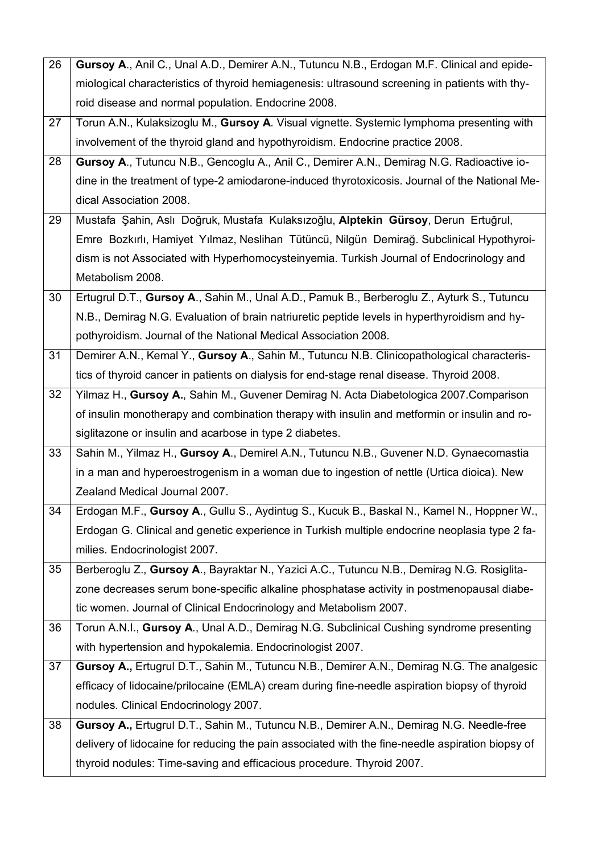| 26 | Gursoy A., Anil C., Unal A.D., Demirer A.N., Tutuncu N.B., Erdogan M.F. Clinical and epide-      |  |
|----|--------------------------------------------------------------------------------------------------|--|
|    | miological characteristics of thyroid hemiagenesis: ultrasound screening in patients with thy-   |  |
|    | roid disease and normal population. Endocrine 2008.                                              |  |
| 27 | Torun A.N., Kulaksizoglu M., Gursoy A. Visual vignette. Systemic lymphoma presenting with        |  |
|    | involvement of the thyroid gland and hypothyroidism. Endocrine practice 2008.                    |  |
| 28 | Gursoy A., Tutuncu N.B., Gencoglu A., Anil C., Demirer A.N., Demirag N.G. Radioactive io-        |  |
|    | dine in the treatment of type-2 amiodarone-induced thyrotoxicosis. Journal of the National Me-   |  |
|    | dical Association 2008.                                                                          |  |
| 29 | Mustafa Şahin, Aslı Doğruk, Mustafa Kulaksızoğlu, Alptekin Gürsoy, Derun Ertuğrul,               |  |
|    | Emre Bozkırlı, Hamiyet Yılmaz, Neslihan Tütüncü, Nilgün Demirağ. Subclinical Hypothyroi-         |  |
|    | dism is not Associated with Hyperhomocysteinyemia. Turkish Journal of Endocrinology and          |  |
|    | Metabolism 2008.                                                                                 |  |
| 30 | Ertugrul D.T., Gursoy A., Sahin M., Unal A.D., Pamuk B., Berberoglu Z., Ayturk S., Tutuncu       |  |
|    | N.B., Demirag N.G. Evaluation of brain natriuretic peptide levels in hyperthyroidism and hy-     |  |
|    | pothyroidism. Journal of the National Medical Association 2008.                                  |  |
| 31 | Demirer A.N., Kemal Y., Gursoy A., Sahin M., Tutuncu N.B. Clinicopathological characteris-       |  |
|    | tics of thyroid cancer in patients on dialysis for end-stage renal disease. Thyroid 2008.        |  |
| 32 | Yilmaz H., Gursoy A., Sahin M., Guvener Demirag N. Acta Diabetologica 2007.Comparison            |  |
|    | of insulin monotherapy and combination therapy with insulin and metformin or insulin and ro-     |  |
|    | siglitazone or insulin and acarbose in type 2 diabetes.                                          |  |
| 33 | Sahin M., Yilmaz H., Gursoy A., Demirel A.N., Tutuncu N.B., Guvener N.D. Gynaecomastia           |  |
|    | in a man and hyperoestrogenism in a woman due to ingestion of nettle (Urtica dioica). New        |  |
|    | Zealand Medical Journal 2007.                                                                    |  |
| 34 | Erdogan M.F., Gursoy A., Gullu S., Aydintug S., Kucuk B., Baskal N., Kamel N., Hoppner W.,       |  |
|    | Erdogan G. Clinical and genetic experience in Turkish multiple endocrine neoplasia type 2 fa-    |  |
|    | milies. Endocrinologist 2007.                                                                    |  |
| 35 | Berberoglu Z., Gursoy A., Bayraktar N., Yazici A.C., Tutuncu N.B., Demirag N.G. Rosiglita-       |  |
|    | zone decreases serum bone-specific alkaline phosphatase activity in postmenopausal diabe-        |  |
|    | tic women. Journal of Clinical Endocrinology and Metabolism 2007.                                |  |
| 36 | Torun A.N.I., Gursoy A., Unal A.D., Demirag N.G. Subclinical Cushing syndrome presenting         |  |
|    | with hypertension and hypokalemia. Endocrinologist 2007.                                         |  |
| 37 | Gursoy A., Ertugrul D.T., Sahin M., Tutuncu N.B., Demirer A.N., Demirag N.G. The analgesic       |  |
|    | efficacy of lidocaine/prilocaine (EMLA) cream during fine-needle aspiration biopsy of thyroid    |  |
|    | nodules. Clinical Endocrinology 2007.                                                            |  |
| 38 | Gursoy A., Ertugrul D.T., Sahin M., Tutuncu N.B., Demirer A.N., Demirag N.G. Needle-free         |  |
|    | delivery of lidocaine for reducing the pain associated with the fine-needle aspiration biopsy of |  |
|    | thyroid nodules: Time-saving and efficacious procedure. Thyroid 2007.                            |  |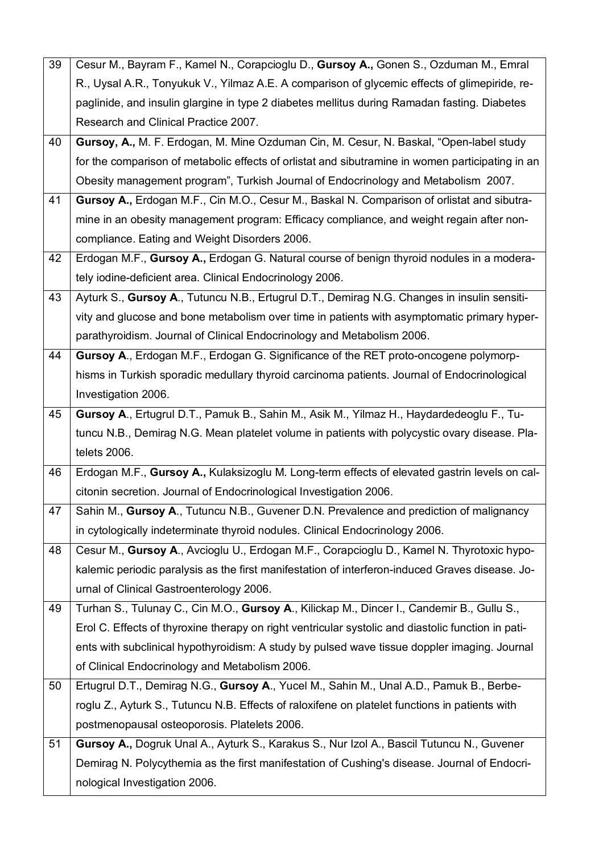| 39 | Cesur M., Bayram F., Kamel N., Corapcioglu D., Gursoy A., Gonen S., Ozduman M., Emral              |
|----|----------------------------------------------------------------------------------------------------|
|    | R., Uysal A.R., Tonyukuk V., Yilmaz A.E. A comparison of glycemic effects of glimepiride, re-      |
|    | paglinide, and insulin glargine in type 2 diabetes mellitus during Ramadan fasting. Diabetes       |
|    | Research and Clinical Practice 2007.                                                               |
| 40 | Gursoy, A., M. F. Erdogan, M. Mine Ozduman Cin, M. Cesur, N. Baskal, "Open-label study             |
|    | for the comparison of metabolic effects of orlistat and sibutramine in women participating in an   |
|    | Obesity management program", Turkish Journal of Endocrinology and Metabolism 2007.                 |
| 41 | Gursoy A., Erdogan M.F., Cin M.O., Cesur M., Baskal N. Comparison of orlistat and sibutra-         |
|    | mine in an obesity management program: Efficacy compliance, and weight regain after non-           |
|    | compliance. Eating and Weight Disorders 2006.                                                      |
| 42 | Erdogan M.F., Gursoy A., Erdogan G. Natural course of benign thyroid nodules in a modera-          |
|    | tely iodine-deficient area. Clinical Endocrinology 2006.                                           |
| 43 | Ayturk S., Gursoy A., Tutuncu N.B., Ertugrul D.T., Demirag N.G. Changes in insulin sensiti-        |
|    | vity and glucose and bone metabolism over time in patients with asymptomatic primary hyper-        |
|    | parathyroidism. Journal of Clinical Endocrinology and Metabolism 2006.                             |
| 44 | Gursoy A., Erdogan M.F., Erdogan G. Significance of the RET proto-oncogene polymorp-               |
|    | hisms in Turkish sporadic medullary thyroid carcinoma patients. Journal of Endocrinological        |
|    | Investigation 2006.                                                                                |
| 45 | Gursoy A., Ertugrul D.T., Pamuk B., Sahin M., Asik M., Yilmaz H., Haydardedeoglu F., Tu-           |
|    |                                                                                                    |
|    | tuncu N.B., Demirag N.G. Mean platelet volume in patients with polycystic ovary disease. Pla-      |
|    | telets 2006.                                                                                       |
| 46 | Erdogan M.F., Gursoy A., Kulaksizoglu M. Long-term effects of elevated gastrin levels on cal-      |
|    | citonin secretion. Journal of Endocrinological Investigation 2006.                                 |
| 47 | Sahin M., Gursoy A., Tutuncu N.B., Guvener D.N. Prevalence and prediction of malignancy            |
|    | in cytologically indeterminate thyroid nodules. Clinical Endocrinology 2006.                       |
| 48 | Cesur M., Gursoy A., Avcioglu U., Erdogan M.F., Corapcioglu D., Kamel N. Thyrotoxic hypo-          |
|    | kalemic periodic paralysis as the first manifestation of interferon-induced Graves disease. Jo-    |
|    | urnal of Clinical Gastroenterology 2006.                                                           |
| 49 | Turhan S., Tulunay C., Cin M.O., Gursoy A., Kilickap M., Dincer I., Candemir B., Gullu S.,         |
|    | Erol C. Effects of thyroxine therapy on right ventricular systolic and diastolic function in pati- |
|    | ents with subclinical hypothyroidism: A study by pulsed wave tissue doppler imaging. Journal       |
|    | of Clinical Endocrinology and Metabolism 2006.                                                     |
| 50 | Ertugrul D.T., Demirag N.G., Gursoy A., Yucel M., Sahin M., Unal A.D., Pamuk B., Berbe-            |
|    | roglu Z., Ayturk S., Tutuncu N.B. Effects of raloxifene on platelet functions in patients with     |
|    | postmenopausal osteoporosis. Platelets 2006.                                                       |
| 51 | Gursoy A., Dogruk Unal A., Ayturk S., Karakus S., Nur Izol A., Bascil Tutuncu N., Guvener          |
|    | Demirag N. Polycythemia as the first manifestation of Cushing's disease. Journal of Endocri-       |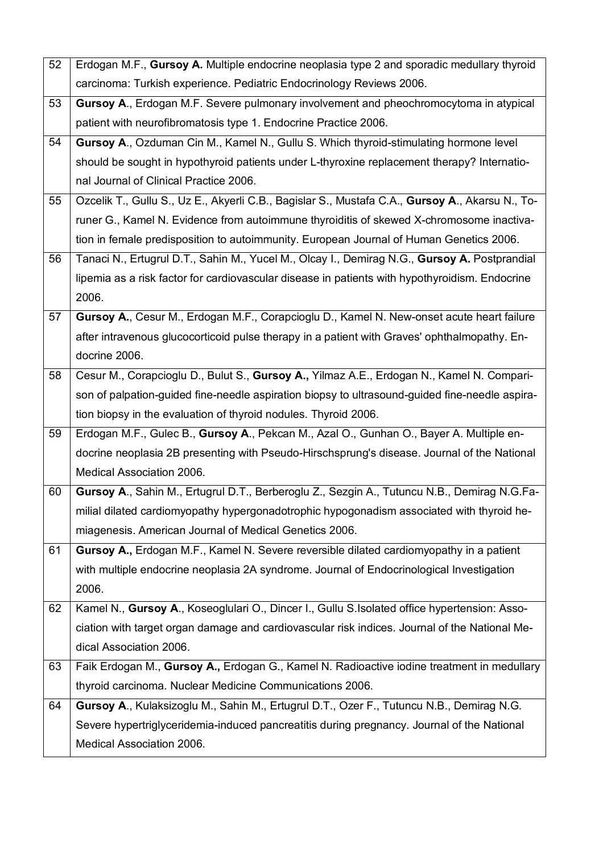| 52 | Erdogan M.F., Gursoy A. Multiple endocrine neoplasia type 2 and sporadic medullary thyroid      |  |
|----|-------------------------------------------------------------------------------------------------|--|
|    | carcinoma: Turkish experience. Pediatric Endocrinology Reviews 2006.                            |  |
| 53 | Gursoy A., Erdogan M.F. Severe pulmonary involvement and pheochromocytoma in atypical           |  |
|    | patient with neurofibromatosis type 1. Endocrine Practice 2006.                                 |  |
| 54 | Gursoy A., Ozduman Cin M., Kamel N., Gullu S. Which thyroid-stimulating hormone level           |  |
|    | should be sought in hypothyroid patients under L-thyroxine replacement therapy? Internatio-     |  |
|    | nal Journal of Clinical Practice 2006.                                                          |  |
| 55 | Ozcelik T., Gullu S., Uz E., Akyerli C.B., Bagislar S., Mustafa C.A., Gursoy A., Akarsu N., To- |  |
|    | runer G., Kamel N. Evidence from autoimmune thyroiditis of skewed X-chromosome inactiva-        |  |
|    | tion in female predisposition to autoimmunity. European Journal of Human Genetics 2006.         |  |
| 56 | Tanaci N., Ertugrul D.T., Sahin M., Yucel M., Olcay I., Demirag N.G., Gursoy A. Postprandial    |  |
|    | lipemia as a risk factor for cardiovascular disease in patients with hypothyroidism. Endocrine  |  |
|    | 2006.                                                                                           |  |
| 57 | Gursoy A., Cesur M., Erdogan M.F., Corapcioglu D., Kamel N. New-onset acute heart failure       |  |
|    | after intravenous glucocorticoid pulse therapy in a patient with Graves' ophthalmopathy. En-    |  |
|    | docrine 2006.                                                                                   |  |
| 58 | Cesur M., Corapcioglu D., Bulut S., Gursoy A., Yilmaz A.E., Erdogan N., Kamel N. Compari-       |  |
|    | son of palpation-guided fine-needle aspiration biopsy to ultrasound-guided fine-needle aspira-  |  |
|    | tion biopsy in the evaluation of thyroid nodules. Thyroid 2006.                                 |  |
| 59 | Erdogan M.F., Gulec B., Gursoy A., Pekcan M., Azal O., Gunhan O., Bayer A. Multiple en-         |  |
|    | docrine neoplasia 2B presenting with Pseudo-Hirschsprung's disease. Journal of the National     |  |
|    | Medical Association 2006.                                                                       |  |
| 60 | Gursoy A., Sahin M., Ertugrul D.T., Berberoglu Z., Sezgin A., Tutuncu N.B., Demirag N.G.Fa-     |  |
|    | milial dilated cardiomyopathy hypergonadotrophic hypogonadism associated with thyroid he-       |  |
|    | miagenesis. American Journal of Medical Genetics 2006.                                          |  |
| 61 | Gursoy A., Erdogan M.F., Kamel N. Severe reversible dilated cardiomyopathy in a patient         |  |
|    | with multiple endocrine neoplasia 2A syndrome. Journal of Endocrinological Investigation        |  |
|    | 2006.                                                                                           |  |
| 62 | Kamel N., Gursoy A., Koseoglulari O., Dincer I., Gullu S.Isolated office hypertension: Asso-    |  |
|    | ciation with target organ damage and cardiovascular risk indices. Journal of the National Me-   |  |
|    | dical Association 2006.                                                                         |  |
| 63 | Faik Erdogan M., Gursoy A., Erdogan G., Kamel N. Radioactive iodine treatment in medullary      |  |
|    | thyroid carcinoma. Nuclear Medicine Communications 2006.                                        |  |
| 64 | Gursoy A., Kulaksizoglu M., Sahin M., Ertugrul D.T., Ozer F., Tutuncu N.B., Demirag N.G.        |  |
|    | Severe hypertriglyceridemia-induced pancreatitis during pregnancy. Journal of the National      |  |
|    | Medical Association 2006.                                                                       |  |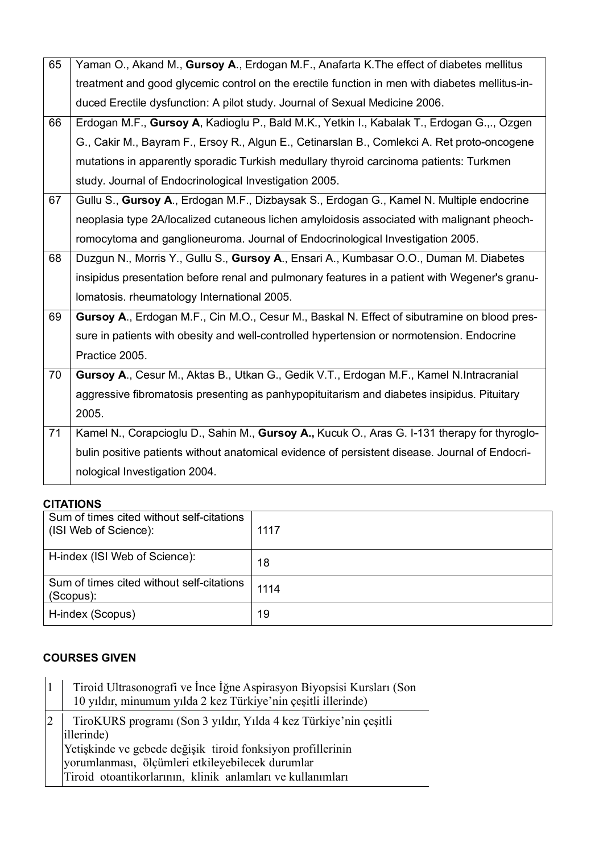| 65 | Yaman O., Akand M., Gursoy A., Erdogan M.F., Anafarta K. The effect of diabetes mellitus       |
|----|------------------------------------------------------------------------------------------------|
|    | treatment and good glycemic control on the erectile function in men with diabetes mellitus-in- |
|    | duced Erectile dysfunction: A pilot study. Journal of Sexual Medicine 2006.                    |
| 66 | Erdogan M.F., Gursoy A, Kadioglu P., Bald M.K., Yetkin I., Kabalak T., Erdogan G.,., Ozgen     |
|    | G., Cakir M., Bayram F., Ersoy R., Algun E., Cetinarslan B., Comlekci A. Ret proto-oncogene    |
|    | mutations in apparently sporadic Turkish medullary thyroid carcinoma patients: Turkmen         |
|    | study. Journal of Endocrinological Investigation 2005.                                         |
| 67 | Gullu S., Gursoy A., Erdogan M.F., Dizbaysak S., Erdogan G., Kamel N. Multiple endocrine       |
|    | neoplasia type 2A/localized cutaneous lichen amyloidosis associated with malignant pheoch-     |
|    | romocytoma and ganglioneuroma. Journal of Endocrinological Investigation 2005.                 |
| 68 | Duzgun N., Morris Y., Gullu S., Gursoy A., Ensari A., Kumbasar O.O., Duman M. Diabetes         |
|    | insipidus presentation before renal and pulmonary features in a patient with Wegener's granu-  |
|    | Iomatosis. rheumatology International 2005.                                                    |
| 69 | Gursoy A., Erdogan M.F., Cin M.O., Cesur M., Baskal N. Effect of sibutramine on blood pres-    |
|    | sure in patients with obesity and well-controlled hypertension or normotension. Endocrine      |
|    | Practice 2005.                                                                                 |
| 70 | Gursoy A., Cesur M., Aktas B., Utkan G., Gedik V.T., Erdogan M.F., Kamel N.Intracranial        |
|    |                                                                                                |
|    | aggressive fibromatosis presenting as panhypopituitarism and diabetes insipidus. Pituitary     |
|    | 2005.                                                                                          |
| 71 | Kamel N., Corapcioglu D., Sahin M., Gursoy A., Kucuk O., Aras G. I-131 therapy for thyroglo-   |
|    | bulin positive patients without anatomical evidence of persistent disease. Journal of Endocri- |
|    | nological Investigation 2004.                                                                  |

### **CITATIONS**

| Sum of times cited without self-citations<br>(ISI Web of Science): | 1117 |
|--------------------------------------------------------------------|------|
| H-index (ISI Web of Science):                                      | 18   |
| Sum of times cited without self-citations<br>(Scopus):             | 1114 |
| H-index (Scopus)                                                   | 19   |

## **COURSES GIVEN**

| Tiroid Ultrasonografi ve Ince Iğne Aspirasyon Biyopsisi Kursları (Son<br>10 yıldır, minumum yılda 2 kez Türkiye'nin çeşitli illerinde)                                                                                                                          |
|-----------------------------------------------------------------------------------------------------------------------------------------------------------------------------------------------------------------------------------------------------------------|
| TiroKURS programı (Son 3 yıldır, Yılda 4 kez Türkiye'nin çeşitli<br>illerinde)<br>Yetişkinde ve gebede değişik tiroid fonksiyon profillerinin<br>vorumlanması, ölçümleri etkileyebilecek durumlar<br>Tiroid otoantikorlarının, klinik anlamları ve kullanımları |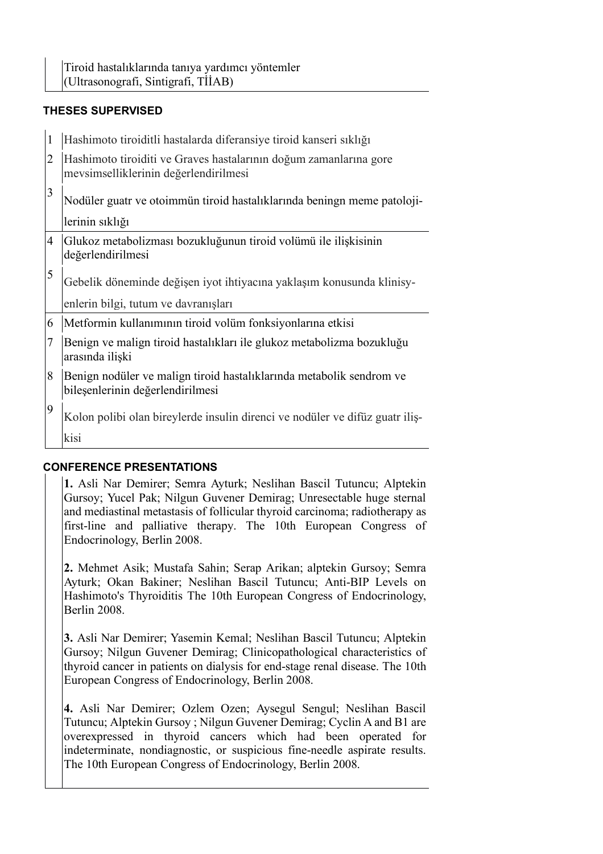### **THESES SUPERVISED**

| $\mathbf{1}$   | Hashimoto tiroiditli hastalarda diferansiye tiroid kanseri sıklığı                                         |
|----------------|------------------------------------------------------------------------------------------------------------|
| $\overline{2}$ | Hashimoto tiroiditi ve Graves hastalarının doğum zamanlarına gore<br>mevsimselliklerinin değerlendirilmesi |
| 3              | Nodüler guatr ve otoimmün tiroid hastalıklarında beningn meme patoloji-                                    |
|                | lerinin sıklığı                                                                                            |
| $\overline{4}$ | Glukoz metabolizması bozukluğunun tiroid volümü ile ilişkisinin<br>değerlendirilmesi                       |
| 5              | Gebelik döneminde değişen iyot ihtiyacına yaklaşım konusunda klinisy-                                      |
|                | enlerin bilgi, tutum ve davranışları                                                                       |
| 6              | Metformin kullanımının tiroid volüm fonksiyonlarına etkisi                                                 |
| $\tau$         | Benign ve malign tiroid hastalıkları ile glukoz metabolizma bozukluğu<br>arasında ilişki                   |
| 8              | Benign nodüler ve malign tiroid hastalıklarında metabolik sendrom ve<br>bileşenlerinin değerlendirilmesi   |
| 9              | Kolon polibi olan bireylerde insulin direnci ve nodüler ve difüz guatriliş-                                |
|                | kisi                                                                                                       |

#### **CONFERENCE PRESENTATIONS**

**1.** Asli Nar Demirer; Semra Ayturk; Neslihan Bascil Tutuncu; Alptekin Gursoy; Yucel Pak; Nilgun Guvener Demirag; Unresectable huge sternal and mediastinal metastasis of follicular thyroid carcinoma; radiotherapy as first-line and palliative therapy. The 10th European Congress of Endocrinology, Berlin 2008.

**2.** Mehmet Asik; Mustafa Sahin; Serap Arikan; alptekin Gursoy; Semra Ayturk; Okan Bakiner; Neslihan Bascil Tutuncu; Anti-BIP Levels on Hashimoto's Thyroiditis The 10th European Congress of Endocrinology, Berlin 2008.

**3.** Asli Nar Demirer; Yasemin Kemal; Neslihan Bascil Tutuncu; Alptekin Gursoy; Nilgun Guvener Demirag; Clinicopathological characteristics of thyroid cancer in patients on dialysis for end-stage renal disease. The 10th European Congress of Endocrinology, Berlin 2008.

**4.** Asli Nar Demirer; Ozlem Ozen; Aysegul Sengul; Neslihan Bascil Tutuncu; Alptekin Gursoy ; Nilgun Guvener Demirag; Cyclin A and B1 are overexpressed in thyroid cancers which had been operated for indeterminate, nondiagnostic, or suspicious fine-needle aspirate results. The 10th European Congress of Endocrinology, Berlin 2008.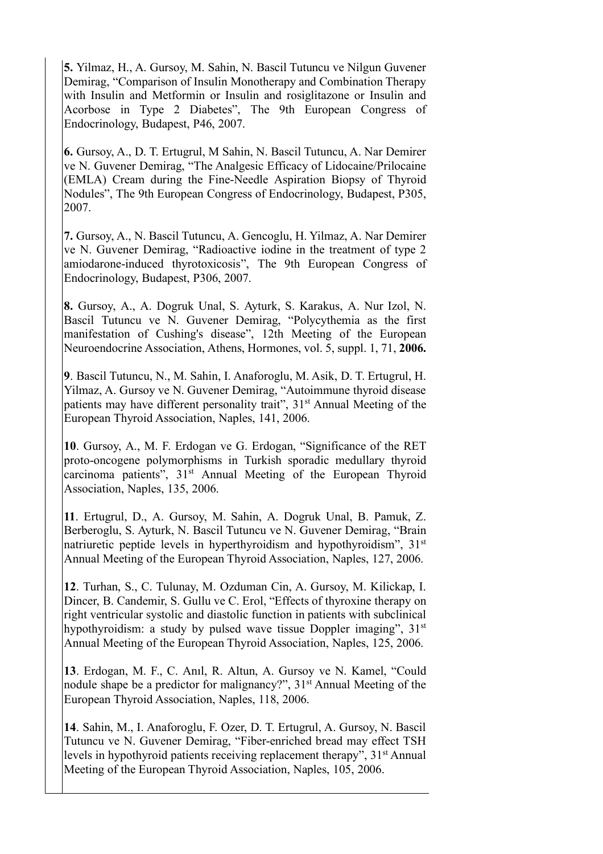**5.** Yilmaz, H., A. Gursoy, M. Sahin, N. Bascil Tutuncu ve Nilgun Guvener Demirag, "Comparison of Insulin Monotherapy and Combination Therapy with Insulin and Metformin or Insulin and rosiglitazone or Insulin and Acorbose in Type 2 Diabetes", The 9th European Congress of Endocrinology, Budapest, P46, 2007.

**6.** Gursoy, A., D. T. Ertugrul, M Sahin, N. Bascil Tutuncu, A. Nar Demirer ve N. Guvener Demirag, "The Analgesic Efficacy of Lidocaine/Prilocaine (EMLA) Cream during the Fine-Needle Aspiration Biopsy of Thyroid Nodules", The 9th European Congress of Endocrinology, Budapest, P305, 2007.

**7.** Gursoy, A., N. Bascil Tutuncu, A. Gencoglu, H. Yilmaz, A. Nar Demirer ve N. Guvener Demirag, "Radioactive iodine in the treatment of type 2 amiodarone-induced thyrotoxicosis", The 9th European Congress of Endocrinology, Budapest, P306, 2007.

**8.** Gursoy, A., A. Dogruk Unal, S. Ayturk, S. Karakus, A. Nur Izol, N. Bascil Tutuncu ve N. Guvener Demirag, "Polycythemia as the first manifestation of Cushing's disease", 12th Meeting of the European Neuroendocrine Association, Athens, Hormones, vol. 5, suppl. 1, 71, **2006.**

**9**. Bascil Tutuncu, N., M. Sahin, I. Anaforoglu, M. Asik, D. T. Ertugrul, H. Yilmaz, A. Gursoy ve N. Guvener Demirag, "Autoimmune thyroid disease patients may have different personality trait", 31<sup>st</sup> Annual Meeting of the European Thyroid Association, Naples, 141, 2006.

**10**. Gursoy, A., M. F. Erdogan ve G. Erdogan, "Significance of the RET proto-oncogene polymorphisms in Turkish sporadic medullary thyroid carcinoma patients", 31<sup>st</sup> Annual Meeting of the European Thyroid Association, Naples, 135, 2006.

**11**. Ertugrul, D., A. Gursoy, M. Sahin, A. Dogruk Unal, B. Pamuk, Z. Berberoglu, S. Ayturk, N. Bascil Tutuncu ve N. Guvener Demirag, "Brain natriuretic peptide levels in hyperthyroidism and hypothyroidism",  $31<sup>st</sup>$ Annual Meeting of the European Thyroid Association, Naples, 127, 2006.

**12**. Turhan, S., C. Tulunay, M. Ozduman Cin, A. Gursoy, M. Kilickap, I. Dincer, B. Candemir, S. Gullu ve C. Erol, "Effects of thyroxine therapy on right ventricular systolic and diastolic function in patients with subclinical hypothyroidism: a study by pulsed wave tissue Doppler imaging",  $31<sup>st</sup>$ Annual Meeting of the European Thyroid Association, Naples, 125, 2006.

**13**. Erdogan, M. F., C. Anıl, R. Altun, A. Gursoy ve N. Kamel, "Could nodule shape be a predictor for malignancy?", 31<sup>st</sup> Annual Meeting of the European Thyroid Association, Naples, 118, 2006.

**14**. Sahin, M., I. Anaforoglu, F. Ozer, D. T. Ertugrul, A. Gursoy, N. Bascil Tutuncu ve N. Guvener Demirag, "Fiber-enriched bread may effect TSH levels in hypothyroid patients receiving replacement therapy", 31st Annual Meeting of the European Thyroid Association, Naples, 105, 2006.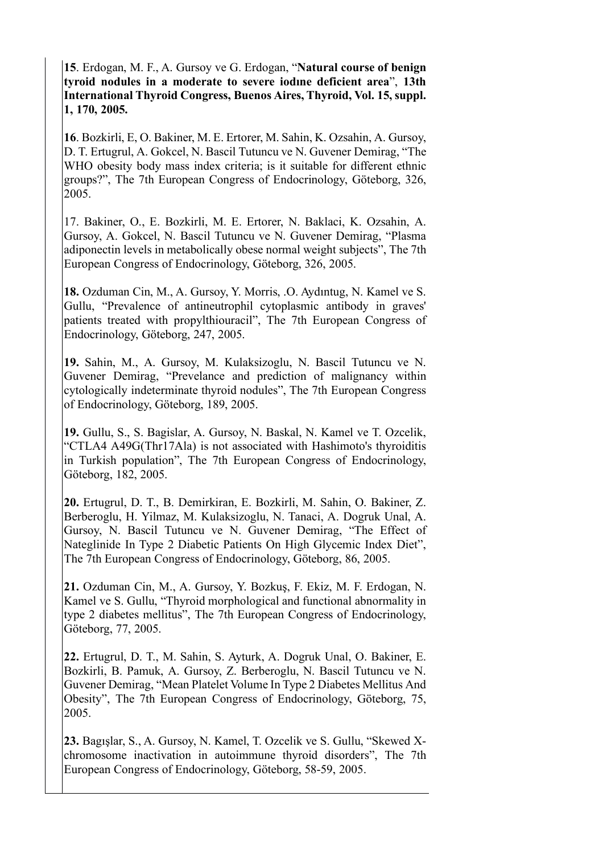**15**. Erdogan, M. F., A. Gursoy ve G. Erdogan, "**Natural course of benign tyroid nodules in a moderate to severe iodıne deficient area**", **13th International Thyroid Congress, Buenos Aires, Thyroid, Vol. 15, suppl. 1, 170, 2005.** 

**16**. Bozkirli, E, O. Bakiner, M. E. Ertorer, M. Sahin, K. Ozsahin, A. Gursoy, D. T. Ertugrul, A. Gokcel, N. Bascil Tutuncu ve N. Guvener Demirag, "The WHO obesity body mass index criteria; is it suitable for different ethnic groups?", The 7th European Congress of Endocrinology, Göteborg, 326, 2005.

17. Bakiner, O., E. Bozkirli, M. E. Ertorer, N. Baklaci, K. Ozsahin, A. Gursoy, A. Gokcel, N. Bascil Tutuncu ve N. Guvener Demirag, "Plasma adiponectin levels in metabolically obese normal weight subjects", The 7th European Congress of Endocrinology, Göteborg, 326, 2005.

**18.** Ozduman Cin, M., A. Gursoy, Y. Morris, .O. Aydıntug, N. Kamel ve S. Gullu, "Prevalence of antineutrophil cytoplasmic antibody in graves' patients treated with propylthiouracil", The 7th European Congress of Endocrinology, Göteborg, 247, 2005.

**19.** Sahin, M., A. Gursoy, M. Kulaksizoglu, N. Bascil Tutuncu ve N. Guvener Demirag, "Prevelance and prediction of malignancy within cytologically indeterminate thyroid nodules", The 7th European Congress of Endocrinology, Göteborg, 189, 2005.

**19.** Gullu, S., S. Bagislar, A. Gursoy, N. Baskal, N. Kamel ve T. Ozcelik, "CTLA4 A49G(Thr17Ala) is not associated with Hashimoto's thyroiditis in Turkish population", The 7th European Congress of Endocrinology, Göteborg, 182, 2005.

**20.** Ertugrul, D. T., B. Demirkiran, E. Bozkirli, M. Sahin, O. Bakiner, Z. Berberoglu, H. Yilmaz, M. Kulaksizoglu, N. Tanaci, A. Dogruk Unal, A. Gursoy, N. Bascil Tutuncu ve N. Guvener Demirag, "The Effect of Nateglinide In Type 2 Diabetic Patients On High Glycemic Index Diet", The 7th European Congress of Endocrinology, Göteborg, 86, 2005.

**21.** Ozduman Cin, M., A. Gursoy, Y. Bozkuş, F. Ekiz, M. F. Erdogan, N. Kamel ve S. Gullu, "Thyroid morphological and functional abnormality in type 2 diabetes mellitus", The 7th European Congress of Endocrinology, Göteborg, 77, 2005.

**22.** Ertugrul, D. T., M. Sahin, S. Ayturk, A. Dogruk Unal, O. Bakiner, E. Bozkirli, B. Pamuk, A. Gursoy, Z. Berberoglu, N. Bascil Tutuncu ve N. Guvener Demirag, "Mean Platelet Volume In Type 2 Diabetes Mellitus And Obesity", The 7th European Congress of Endocrinology, Göteborg, 75, 2005.

**23.** Bagışlar, S., A. Gursoy, N. Kamel, T. Ozcelik ve S. Gullu, "Skewed Xchromosome inactivation in autoimmune thyroid disorders", The 7th European Congress of Endocrinology, Göteborg, 58-59, 2005.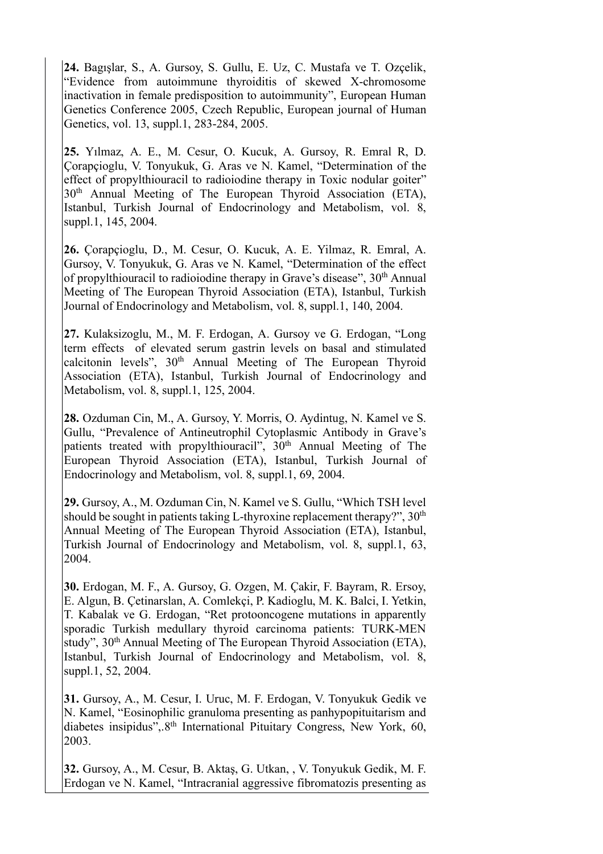**24.** Bagışlar, S., A. Gursoy, S. Gullu, E. Uz, C. Mustafa ve T. Ozçelik, "Evidence from autoimmune thyroiditis of skewed X-chromosome inactivation in female predisposition to autoimmunity", European Human Genetics Conference 2005, Czech Republic, European journal of Human Genetics, vol. 13, suppl.1, 283-284, 2005.

**25.** Yılmaz, A. E., M. Cesur, O. Kucuk, A. Gursoy, R. Emral R, D. Çorapçioglu, V. Tonyukuk, G. Aras ve N. Kamel, "Determination of the effect of propylthiouracil to radioiodine therapy in Toxic nodular goiter" 30<sup>th</sup> Annual Meeting of The European Thyroid Association (ETA), Istanbul, Turkish Journal of Endocrinology and Metabolism, vol. 8, suppl.1, 145, 2004.

**26.** Çorapçioglu, D., M. Cesur, O. Kucuk, A. E. Yilmaz, R. Emral, A. Gursoy, V. Tonyukuk, G. Aras ve N. Kamel, "Determination of the effect of propylthiouracil to radioiodine therapy in Grave's disease", 30th Annual Meeting of The European Thyroid Association (ETA), Istanbul, Turkish Journal of Endocrinology and Metabolism, vol. 8, suppl.1, 140, 2004.

**27.** Kulaksizoglu, M., M. F. Erdogan, A. Gursoy ve G. Erdogan, "Long term effects of elevated serum gastrin levels on basal and stimulated calcitonin levels", 30<sup>th</sup> Annual Meeting of The European Thyroid Association (ETA), Istanbul, Turkish Journal of Endocrinology and Metabolism, vol. 8, suppl.1, 125, 2004.

**28.** Ozduman Cin, M., A. Gursoy, Y. Morris, O. Aydintug, N. Kamel ve S. Gullu, "Prevalence of Antineutrophil Cytoplasmic Antibody in Grave's patients treated with propylthiouracil",  $30<sup>th</sup>$  Annual Meeting of The European Thyroid Association (ETA), Istanbul, Turkish Journal of Endocrinology and Metabolism, vol. 8, suppl.1, 69, 2004.

**29.** Gursoy, A., M. Ozduman Cin, N. Kamel ve S. Gullu, "Which TSH level should be sought in patients taking L-thyroxine replacement therapy?",  $30<sup>th</sup>$ Annual Meeting of The European Thyroid Association (ETA), Istanbul, Turkish Journal of Endocrinology and Metabolism, vol. 8, suppl.1, 63, 2004.

**30.** Erdogan, M. F., A. Gursoy, G. Ozgen, M. Çakir, F. Bayram, R. Ersoy, E. Algun, B. Çetinarslan, A. Comlekçi, P. Kadioglu, M. K. Balci, I. Yetkin, T. Kabalak ve G. Erdogan, "Ret protooncogene mutations in apparently sporadic Turkish medullary thyroid carcinoma patients: TURK-MEN study", 30<sup>th</sup> Annual Meeting of The European Thyroid Association (ETA), Istanbul, Turkish Journal of Endocrinology and Metabolism, vol. 8, suppl.1, 52, 2004.

**31.** Gursoy, A., M. Cesur, I. Uruc, M. F. Erdogan, V. Tonyukuk Gedik ve N. Kamel, "Eosinophilic granuloma presenting as panhypopituitarism and diabetes insipidus",.8th International Pituitary Congress, New York, 60, 2003.

**32.** Gursoy, A., M. Cesur, B. Aktaş, G. Utkan, , V. Tonyukuk Gedik, M. F. Erdogan ve N. Kamel, "Intracranial aggressive fibromatozis presenting as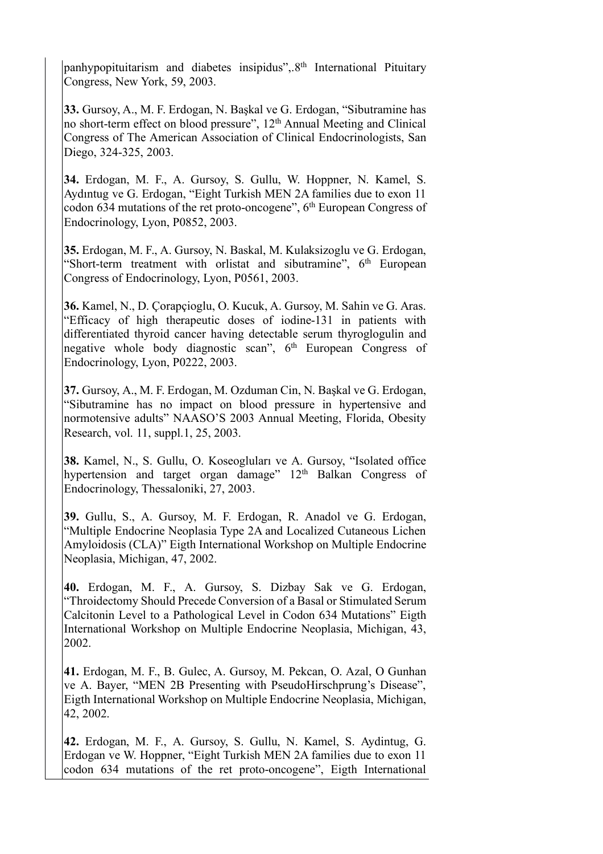panhypopituitarism and diabetes insipidus",.8th International Pituitary Congress, New York, 59, 2003.

**33.** Gursoy, A., M. F. Erdogan, N. Başkal ve G. Erdogan, "Sibutramine has no short-term effect on blood pressure", 12<sup>th</sup> Annual Meeting and Clinical Congress of The American Association of Clinical Endocrinologists, San Diego, 324-325, 2003.

**34.** Erdogan, M. F., A. Gursoy, S. Gullu, W. Hoppner, N. Kamel, S. Aydıntug ve G. Erdogan, "Eight Turkish MEN 2A families due to exon 11 codon 634 mutations of the ret proto-oncogene",  $6<sup>th</sup>$  European Congress of Endocrinology, Lyon, P0852, 2003.

**35.** Erdogan, M. F., A. Gursoy, N. Baskal, M. Kulaksizoglu ve G. Erdogan, "Short-term treatment with orlistat and sibutramine",  $6<sup>th</sup>$  European Congress of Endocrinology, Lyon, P0561, 2003.

**36.** Kamel, N., D. Çorapçioglu, O. Kucuk, A. Gursoy, M. Sahin ve G. Aras. "Efficacy of high therapeutic doses of iodine-131 in patients with differentiated thyroid cancer having detectable serum thyroglogulin and negative whole body diagnostic scan", 6<sup>th</sup> European Congress of Endocrinology, Lyon, P0222, 2003.

**37.** Gursoy, A., M. F. Erdogan, M. Ozduman Cin, N. Başkal ve G. Erdogan, "Sibutramine has no impact on blood pressure in hypertensive and normotensive adults" NAASO'S 2003 Annual Meeting, Florida, Obesity Research, vol. 11, suppl.1, 25, 2003.

**38.** Kamel, N., S. Gullu, O. Koseogluları ve A. Gursoy, "Isolated office hypertension and target organ damage" 12<sup>th</sup> Balkan Congress of Endocrinology, Thessaloniki, 27, 2003.

**39.** Gullu, S., A. Gursoy, M. F. Erdogan, R. Anadol ve G. Erdogan, "Multiple Endocrine Neoplasia Type 2A and Localized Cutaneous Lichen Amyloidosis (CLA)" Eigth International Workshop on Multiple Endocrine Neoplasia, Michigan, 47, 2002.

**40.** Erdogan, M. F., A. Gursoy, S. Dizbay Sak ve G. Erdogan, "Throidectomy Should Precede Conversion of a Basal or Stimulated Serum Calcitonin Level to a Pathological Level in Codon 634 Mutations" Eigth International Workshop on Multiple Endocrine Neoplasia, Michigan, 43, 2002.

**41.** Erdogan, M. F., B. Gulec, A. Gursoy, M. Pekcan, O. Azal, O Gunhan ve A. Bayer, "MEN 2B Presenting with PseudoHirschprung's Disease", Eigth International Workshop on Multiple Endocrine Neoplasia, Michigan, 42, 2002.

**42.** Erdogan, M. F., A. Gursoy, S. Gullu, N. Kamel, S. Aydintug, G. Erdogan ve W. Hoppner, "Eight Turkish MEN 2A families due to exon 11 codon 634 mutations of the ret proto-oncogene", Eigth International